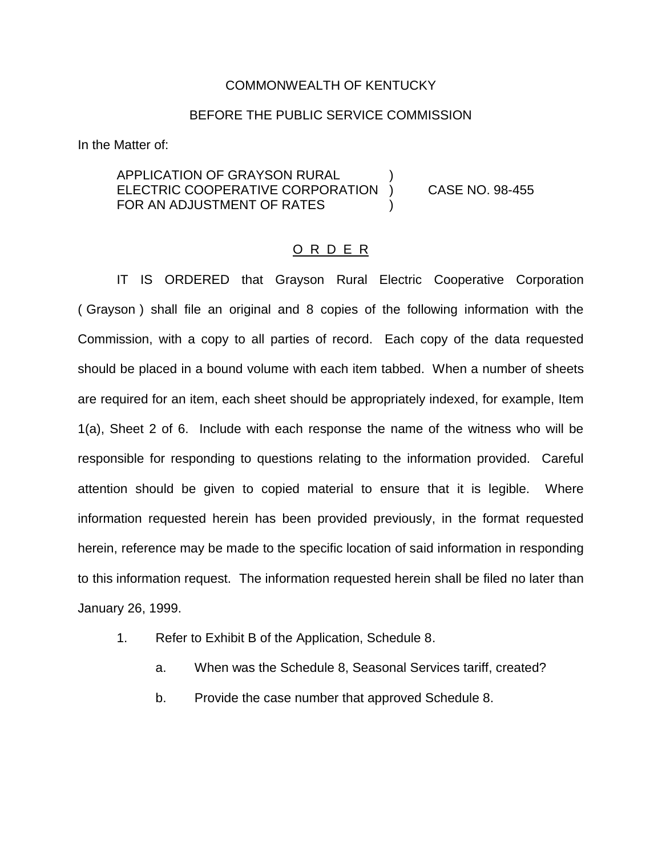## COMMONWEALTH OF KENTUCKY

## BEFORE THE PUBLIC SERVICE COMMISSION

In the Matter of:

APPLICATION OF GRAYSON RURAL ELECTRIC COOPERATIVE CORPORATION ) CASE NO. 98-455 FOR AN ADJUSTMENT OF RATES

## O R D E R

IT IS ORDERED that Grayson Rural Electric Cooperative Corporation ( Grayson ) shall file an original and 8 copies of the following information with the Commission, with a copy to all parties of record. Each copy of the data requested should be placed in a bound volume with each item tabbed. When a number of sheets are required for an item, each sheet should be appropriately indexed, for example, Item 1(a), Sheet 2 of 6. Include with each response the name of the witness who will be responsible for responding to questions relating to the information provided. Careful attention should be given to copied material to ensure that it is legible. Where information requested herein has been provided previously, in the format requested herein, reference may be made to the specific location of said information in responding to this information request. The information requested herein shall be filed no later than January 26, 1999.

- 1. Refer to Exhibit B of the Application, Schedule 8.
	- a. When was the Schedule 8, Seasonal Services tariff, created?
	- b. Provide the case number that approved Schedule 8.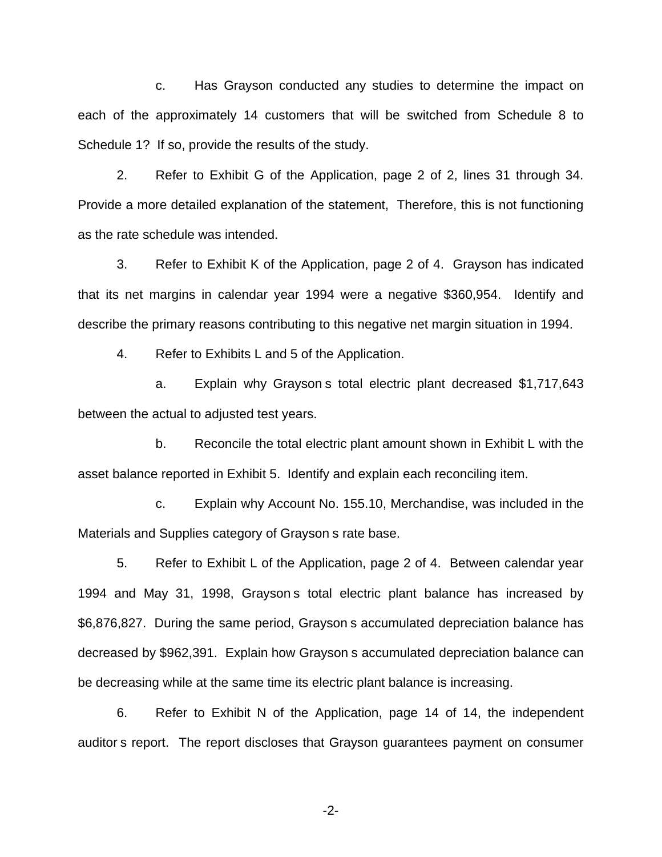c. Has Grayson conducted any studies to determine the impact on each of the approximately 14 customers that will be switched from Schedule 8 to Schedule 1? If so, provide the results of the study.

2. Refer to Exhibit G of the Application, page 2 of 2, lines 31 through 34. Provide a more detailed explanation of the statement, Therefore, this is not functioning as the rate schedule was intended.

3. Refer to Exhibit K of the Application, page 2 of 4. Grayson has indicated that its net margins in calendar year 1994 were a negative \$360,954. Identify and describe the primary reasons contributing to this negative net margin situation in 1994.

4. Refer to Exhibits L and 5 of the Application.

a. Explain why Grayson s total electric plant decreased \$1,717,643 between the actual to adjusted test years.

b. Reconcile the total electric plant amount shown in Exhibit L with the asset balance reported in Exhibit 5. Identify and explain each reconciling item.

c. Explain why Account No. 155.10, Merchandise, was included in the Materials and Supplies category of Grayson s rate base.

5. Refer to Exhibit L of the Application, page 2 of 4. Between calendar year 1994 and May 31, 1998, Grayson s total electric plant balance has increased by \$6,876,827. During the same period, Grayson s accumulated depreciation balance has decreased by \$962,391. Explain how Grayson s accumulated depreciation balance can be decreasing while at the same time its electric plant balance is increasing.

6. Refer to Exhibit N of the Application, page 14 of 14, the independent auditor s report. The report discloses that Grayson guarantees payment on consumer

-2-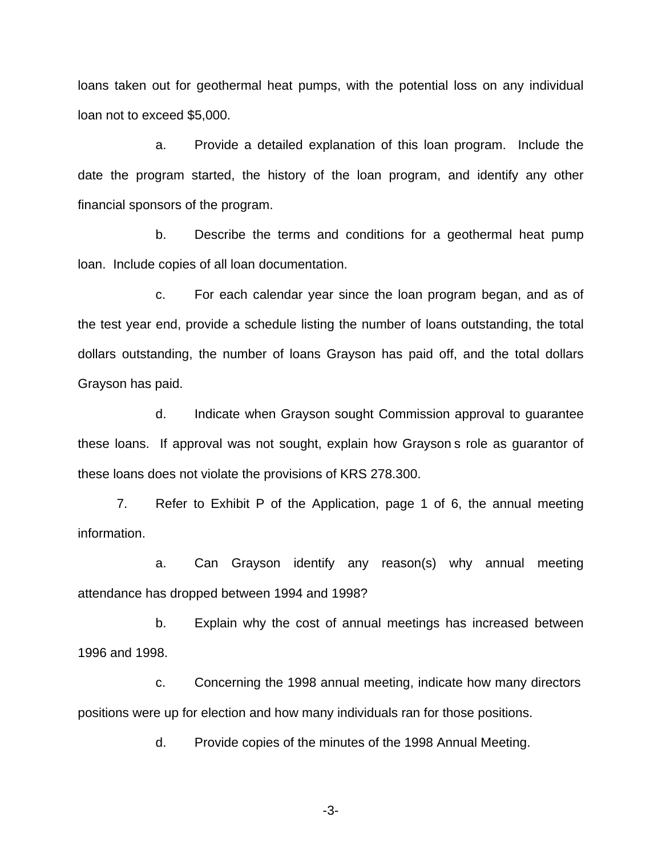loans taken out for geothermal heat pumps, with the potential loss on any individual loan not to exceed \$5,000.

a. Provide a detailed explanation of this loan program. Include the date the program started, the history of the loan program, and identify any other financial sponsors of the program.

b. Describe the terms and conditions for a geothermal heat pump loan. Include copies of all loan documentation.

c. For each calendar year since the loan program began, and as of the test year end, provide a schedule listing the number of loans outstanding, the total dollars outstanding, the number of loans Grayson has paid off, and the total dollars Grayson has paid.

d. Indicate when Grayson sought Commission approval to guarantee these loans. If approval was not sought, explain how Grayson s role as guarantor of these loans does not violate the provisions of KRS 278.300.

7. Refer to Exhibit P of the Application, page 1 of 6, the annual meeting information.

a. Can Grayson identify any reason(s) why annual meeting attendance has dropped between 1994 and 1998?

b. Explain why the cost of annual meetings has increased between 1996 and 1998.

c. Concerning the 1998 annual meeting, indicate how many directors positions were up for election and how many individuals ran for those positions.

d. Provide copies of the minutes of the 1998 Annual Meeting.

-3-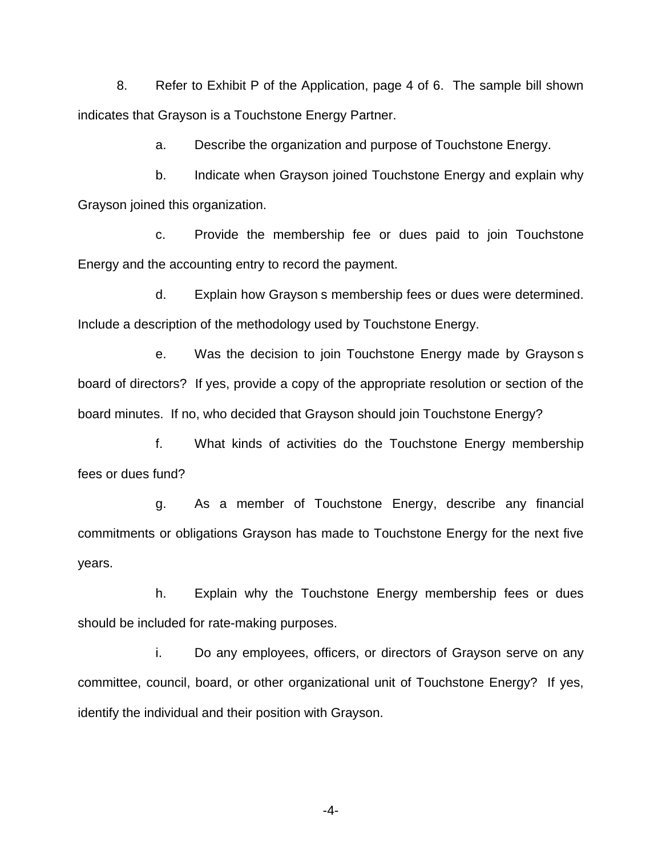8. Refer to Exhibit P of the Application, page 4 of 6. The sample bill shown indicates that Grayson is a Touchstone Energy Partner.

a. Describe the organization and purpose of Touchstone Energy.

b. Indicate when Grayson joined Touchstone Energy and explain why Grayson joined this organization.

c. Provide the membership fee or dues paid to join Touchstone Energy and the accounting entry to record the payment.

d. Explain how Grayson s membership fees or dues were determined. Include a description of the methodology used by Touchstone Energy.

e. Was the decision to join Touchstone Energy made by Grayson s board of directors? If yes, provide a copy of the appropriate resolution or section of the board minutes. If no, who decided that Grayson should join Touchstone Energy?

f. What kinds of activities do the Touchstone Energy membership fees or dues fund?

g. As a member of Touchstone Energy, describe any financial commitments or obligations Grayson has made to Touchstone Energy for the next five years.

h. Explain why the Touchstone Energy membership fees or dues should be included for rate-making purposes.

i. Do any employees, officers, or directors of Grayson serve on any committee, council, board, or other organizational unit of Touchstone Energy? If yes, identify the individual and their position with Grayson.

-4-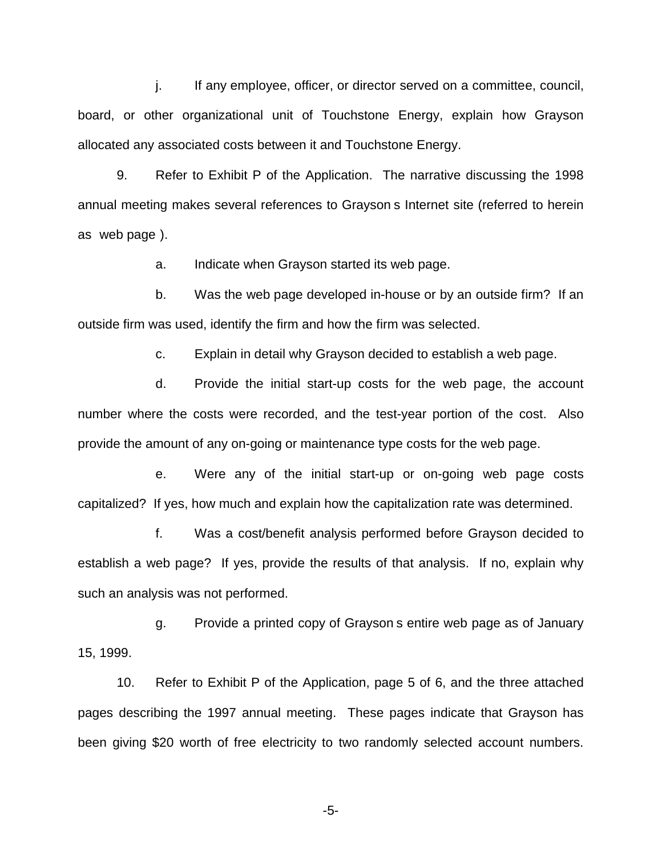j. If any employee, officer, or director served on a committee, council, board, or other organizational unit of Touchstone Energy, explain how Grayson allocated any associated costs between it and Touchstone Energy.

9. Refer to Exhibit P of the Application. The narrative discussing the 1998 annual meeting makes several references to Grayson s Internet site (referred to herein as web page ).

a. Indicate when Grayson started its web page.

b. Was the web page developed in-house or by an outside firm? If an outside firm was used, identify the firm and how the firm was selected.

c. Explain in detail why Grayson decided to establish a web page.

d. Provide the initial start-up costs for the web page, the account number where the costs were recorded, and the test-year portion of the cost. Also provide the amount of any on-going or maintenance type costs for the web page.

e. Were any of the initial start-up or on-going web page costs capitalized? If yes, how much and explain how the capitalization rate was determined.

f. Was a cost/benefit analysis performed before Grayson decided to establish a web page? If yes, provide the results of that analysis. If no, explain why such an analysis was not performed.

g. Provide a printed copy of Grayson s entire web page as of January 15, 1999.

10. Refer to Exhibit P of the Application, page 5 of 6, and the three attached pages describing the 1997 annual meeting. These pages indicate that Grayson has been giving \$20 worth of free electricity to two randomly selected account numbers.

-5-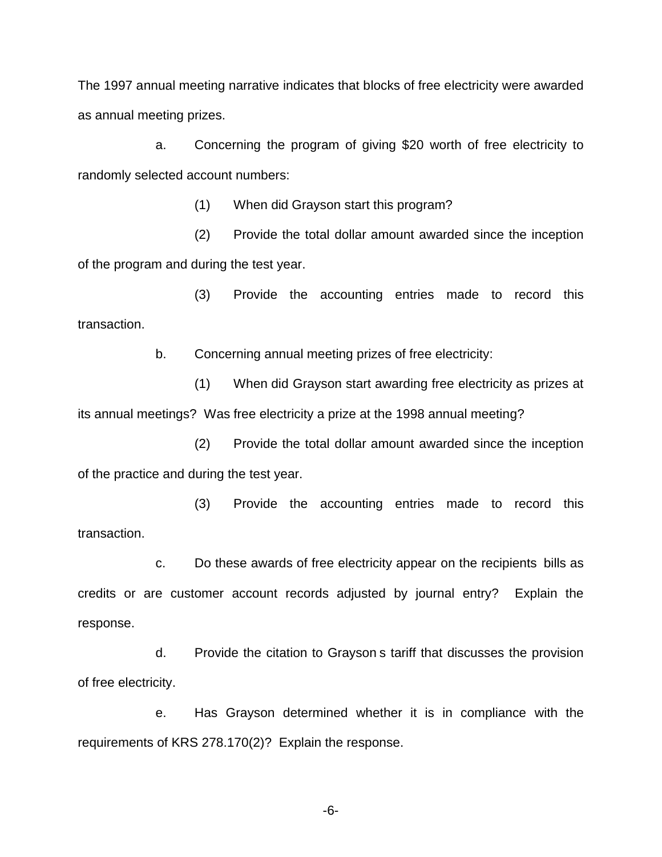The 1997 annual meeting narrative indicates that blocks of free electricity were awarded as annual meeting prizes.

a. Concerning the program of giving \$20 worth of free electricity to randomly selected account numbers:

(1) When did Grayson start this program?

(2) Provide the total dollar amount awarded since the inception of the program and during the test year.

(3) Provide the accounting entries made to record this transaction.

b. Concerning annual meeting prizes of free electricity:

(1) When did Grayson start awarding free electricity as prizes at its annual meetings? Was free electricity a prize at the 1998 annual meeting?

(2) Provide the total dollar amount awarded since the inception of the practice and during the test year.

(3) Provide the accounting entries made to record this transaction.

c. Do these awards of free electricity appear on the recipients bills as credits or are customer account records adjusted by journal entry? Explain the response.

d. Provide the citation to Grayson s tariff that discusses the provision of free electricity.

e. Has Grayson determined whether it is in compliance with the requirements of KRS 278.170(2)? Explain the response.

-6-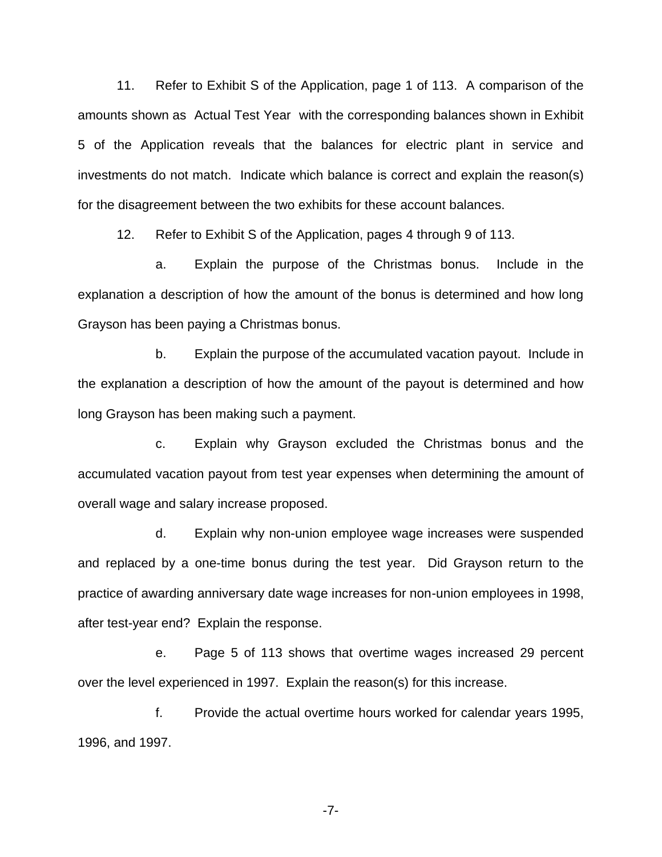11. Refer to Exhibit S of the Application, page 1 of 113. A comparison of the amounts shown as Actual Test Year with the corresponding balances shown in Exhibit 5 of the Application reveals that the balances for electric plant in service and investments do not match. Indicate which balance is correct and explain the reason(s) for the disagreement between the two exhibits for these account balances.

12. Refer to Exhibit S of the Application, pages 4 through 9 of 113.

a. Explain the purpose of the Christmas bonus. Include in the explanation a description of how the amount of the bonus is determined and how long Grayson has been paying a Christmas bonus.

b. Explain the purpose of the accumulated vacation payout. Include in the explanation a description of how the amount of the payout is determined and how long Grayson has been making such a payment.

c. Explain why Grayson excluded the Christmas bonus and the accumulated vacation payout from test year expenses when determining the amount of overall wage and salary increase proposed.

d. Explain why non-union employee wage increases were suspended and replaced by a one-time bonus during the test year. Did Grayson return to the practice of awarding anniversary date wage increases for non-union employees in 1998, after test-year end? Explain the response.

e. Page 5 of 113 shows that overtime wages increased 29 percent over the level experienced in 1997. Explain the reason(s) for this increase.

f. Provide the actual overtime hours worked for calendar years 1995, 1996, and 1997.

-7-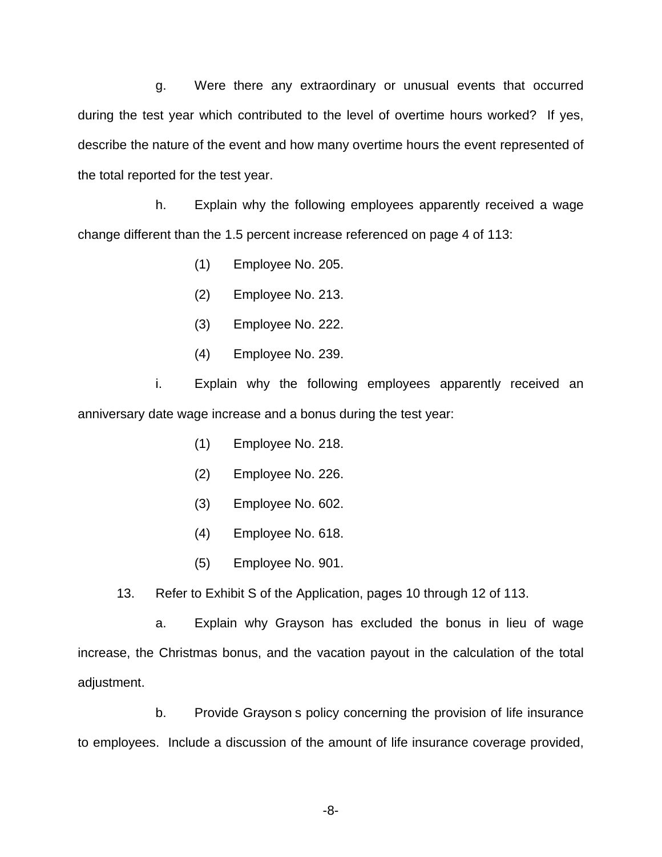g. Were there any extraordinary or unusual events that occurred during the test year which contributed to the level of overtime hours worked? If yes, describe the nature of the event and how many overtime hours the event represented of the total reported for the test year.

h. Explain why the following employees apparently received a wage change different than the 1.5 percent increase referenced on page 4 of 113:

- (1) Employee No. 205.
- (2) Employee No. 213.
- (3) Employee No. 222.
- (4) Employee No. 239.

i. Explain why the following employees apparently received an anniversary date wage increase and a bonus during the test year:

- (1) Employee No. 218.
- (2) Employee No. 226.
- (3) Employee No. 602.
- (4) Employee No. 618.
- (5) Employee No. 901.

13. Refer to Exhibit S of the Application, pages 10 through 12 of 113.

a. Explain why Grayson has excluded the bonus in lieu of wage increase, the Christmas bonus, and the vacation payout in the calculation of the total adjustment.

b. Provide Grayson s policy concerning the provision of life insurance to employees. Include a discussion of the amount of life insurance coverage provided,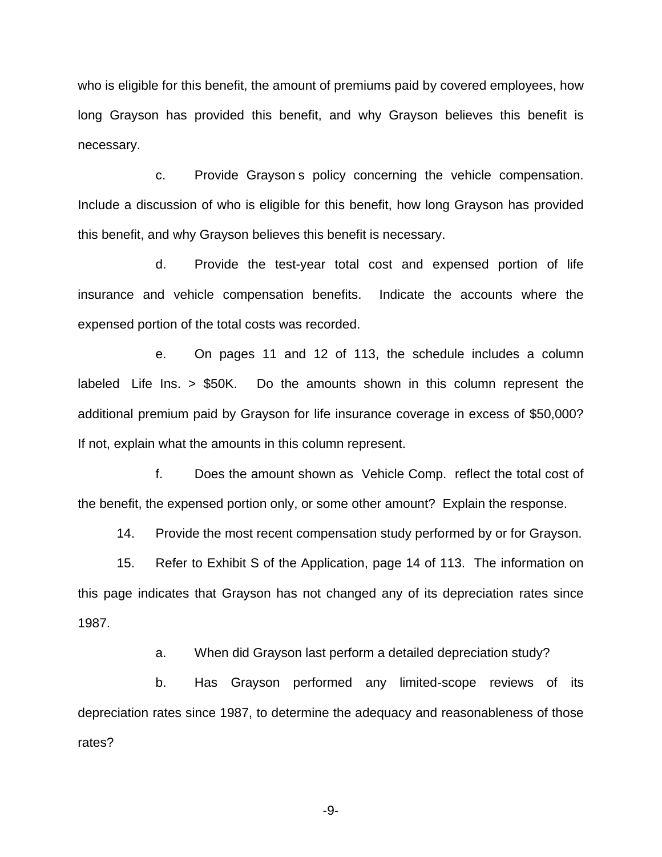who is eligible for this benefit, the amount of premiums paid by covered employees, how long Grayson has provided this benefit, and why Grayson believes this benefit is necessary.

c. Provide Grayson s policy concerning the vehicle compensation. Include a discussion of who is eligible for this benefit, how long Grayson has provided this benefit, and why Grayson believes this benefit is necessary.

d. Provide the test-year total cost and expensed portion of life insurance and vehicle compensation benefits. Indicate the accounts where the expensed portion of the total costs was recorded.

e. On pages 11 and 12 of 113, the schedule includes a column labeled Life Ins. > \$50K. Do the amounts shown in this column represent the additional premium paid by Grayson for life insurance coverage in excess of \$50,000? If not, explain what the amounts in this column represent.

f. Does the amount shown as Vehicle Comp. reflect the total cost of the benefit, the expensed portion only, or some other amount? Explain the response.

14. Provide the most recent compensation study performed by or for Grayson.

15. Refer to Exhibit S of the Application, page 14 of 113. The information on this page indicates that Grayson has not changed any of its depreciation rates since 1987.

a. When did Grayson last perform a detailed depreciation study?

b. Has Grayson performed any limited-scope reviews of its depreciation rates since 1987, to determine the adequacy and reasonableness of those rates?

-9-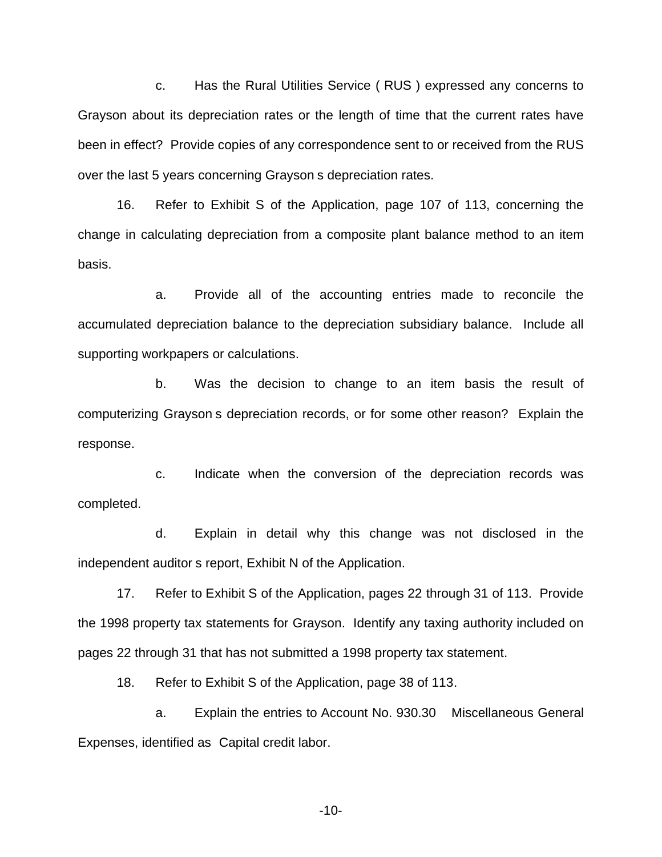c. Has the Rural Utilities Service ( RUS ) expressed any concerns to Grayson about its depreciation rates or the length of time that the current rates have been in effect? Provide copies of any correspondence sent to or received from the RUS over the last 5 years concerning Grayson s depreciation rates.

16. Refer to Exhibit S of the Application, page 107 of 113, concerning the change in calculating depreciation from a composite plant balance method to an item basis.

a. Provide all of the accounting entries made to reconcile the accumulated depreciation balance to the depreciation subsidiary balance. Include all supporting workpapers or calculations.

b. Was the decision to change to an item basis the result of computerizing Grayson s depreciation records, or for some other reason? Explain the response.

c. Indicate when the conversion of the depreciation records was completed.

d. Explain in detail why this change was not disclosed in the independent auditor s report, Exhibit N of the Application.

17. Refer to Exhibit S of the Application, pages 22 through 31 of 113. Provide the 1998 property tax statements for Grayson. Identify any taxing authority included on pages 22 through 31 that has not submitted a 1998 property tax statement.

18. Refer to Exhibit S of the Application, page 38 of 113.

a. Explain the entries to Account No. 930.30 Miscellaneous General Expenses, identified as Capital credit labor.

-10-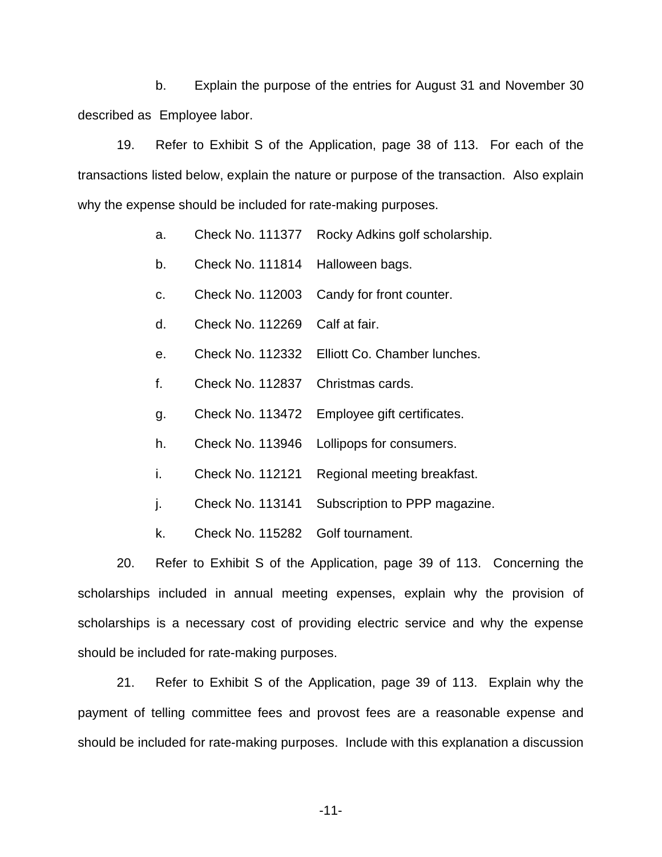b. Explain the purpose of the entries for August 31 and November 30 described as Employee labor.

19. Refer to Exhibit S of the Application, page 38 of 113. For each of the transactions listed below, explain the nature or purpose of the transaction. Also explain why the expense should be included for rate-making purposes.

- a. Check No. 111377 Rocky Adkins golf scholarship.
- b. Check No. 111814 Halloween bags.
- c. Check No. 112003 Candy for front counter.
- d. Check No. 112269 Calf at fair.
- e. Check No. 112332 Elliott Co. Chamber lunches.
- f. Check No. 112837 Christmas cards.
- g. Check No. 113472 Employee gift certificates.
- h. Check No. 113946 Lollipops for consumers.
- i. Check No. 112121 Regional meeting breakfast.
- j. Check No. 113141 Subscription to PPP magazine.
- k. Check No. 115282 Golf tournament.

20. Refer to Exhibit S of the Application, page 39 of 113. Concerning the scholarships included in annual meeting expenses, explain why the provision of scholarships is a necessary cost of providing electric service and why the expense should be included for rate-making purposes.

21. Refer to Exhibit S of the Application, page 39 of 113. Explain why the payment of telling committee fees and provost fees are a reasonable expense and should be included for rate-making purposes. Include with this explanation a discussion

-11-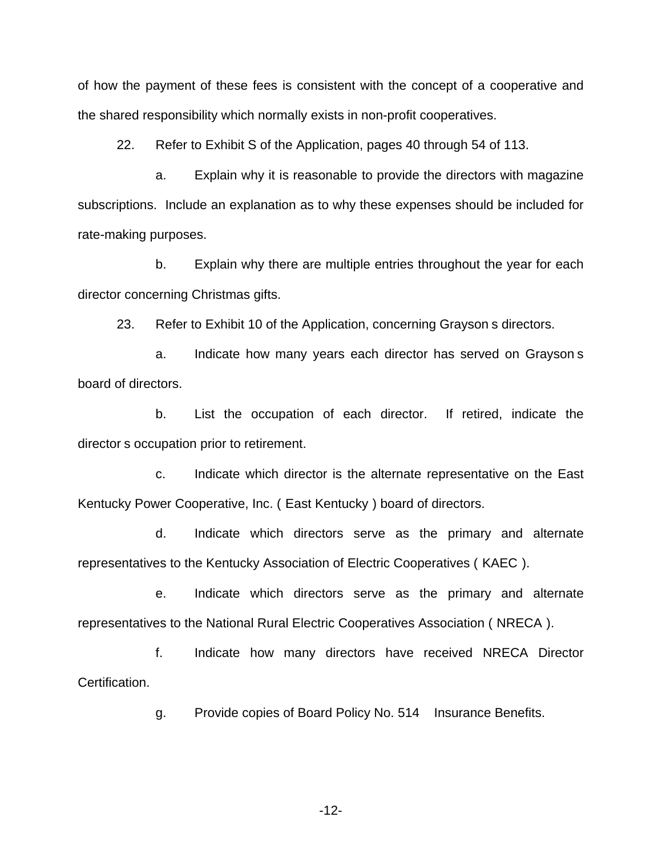of how the payment of these fees is consistent with the concept of a cooperative and the shared responsibility which normally exists in non-profit cooperatives.

22. Refer to Exhibit S of the Application, pages 40 through 54 of 113.

a. Explain why it is reasonable to provide the directors with magazine subscriptions. Include an explanation as to why these expenses should be included for rate-making purposes.

b. Explain why there are multiple entries throughout the year for each director concerning Christmas gifts.

23. Refer to Exhibit 10 of the Application, concerning Grayson s directors.

a. Indicate how many years each director has served on Grayson s board of directors.

b. List the occupation of each director. If retired, indicate the director s occupation prior to retirement.

c. Indicate which director is the alternate representative on the East Kentucky Power Cooperative, Inc. ( East Kentucky ) board of directors.

d. Indicate which directors serve as the primary and alternate representatives to the Kentucky Association of Electric Cooperatives ( KAEC ).

e. Indicate which directors serve as the primary and alternate representatives to the National Rural Electric Cooperatives Association ( NRECA ).

f. Indicate how many directors have received NRECA Director Certification.

g. Provide copies of Board Policy No. 514 Insurance Benefits.

-12-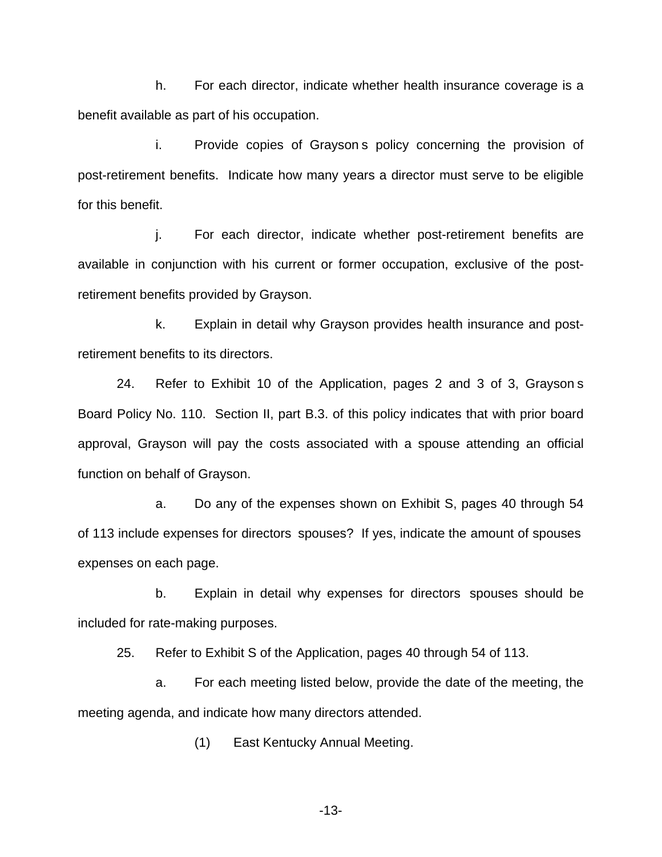h. For each director, indicate whether health insurance coverage is a benefit available as part of his occupation.

i. Provide copies of Grayson s policy concerning the provision of post-retirement benefits. Indicate how many years a director must serve to be eligible for this benefit.

j. For each director, indicate whether post-retirement benefits are available in conjunction with his current or former occupation, exclusive of the postretirement benefits provided by Grayson.

k. Explain in detail why Grayson provides health insurance and postretirement benefits to its directors.

24. Refer to Exhibit 10 of the Application, pages 2 and 3 of 3, Grayson s Board Policy No. 110. Section II, part B.3. of this policy indicates that with prior board approval, Grayson will pay the costs associated with a spouse attending an official function on behalf of Grayson.

a. Do any of the expenses shown on Exhibit S, pages 40 through 54 of 113 include expenses for directors spouses? If yes, indicate the amount of spouses expenses on each page.

b. Explain in detail why expenses for directors spouses should be included for rate-making purposes.

25. Refer to Exhibit S of the Application, pages 40 through 54 of 113.

a. For each meeting listed below, provide the date of the meeting, the meeting agenda, and indicate how many directors attended.

(1) East Kentucky Annual Meeting.

-13-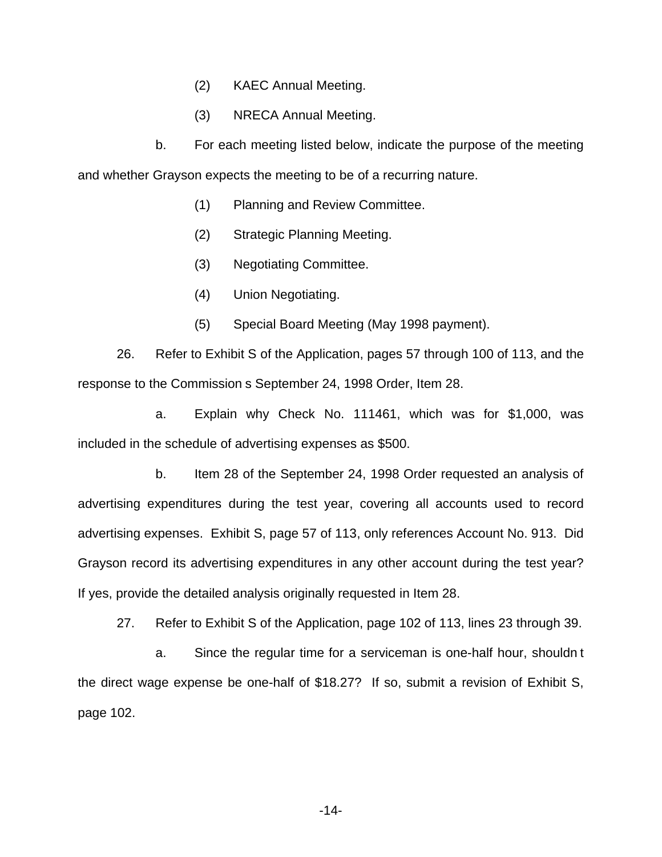- (2) KAEC Annual Meeting.
- (3) NRECA Annual Meeting.

b. For each meeting listed below, indicate the purpose of the meeting and whether Grayson expects the meeting to be of a recurring nature.

- (1) Planning and Review Committee.
- (2) Strategic Planning Meeting.
- (3) Negotiating Committee.
- (4) Union Negotiating.
- (5) Special Board Meeting (May 1998 payment).

26. Refer to Exhibit S of the Application, pages 57 through 100 of 113, and the response to the Commission s September 24, 1998 Order, Item 28.

a. Explain why Check No. 111461, which was for \$1,000, was included in the schedule of advertising expenses as \$500.

b. Item 28 of the September 24, 1998 Order requested an analysis of advertising expenditures during the test year, covering all accounts used to record advertising expenses. Exhibit S, page 57 of 113, only references Account No. 913. Did Grayson record its advertising expenditures in any other account during the test year? If yes, provide the detailed analysis originally requested in Item 28.

27. Refer to Exhibit S of the Application, page 102 of 113, lines 23 through 39.

a. Since the regular time for a serviceman is one-half hour, shouldn t the direct wage expense be one-half of \$18.27? If so, submit a revision of Exhibit S, page 102.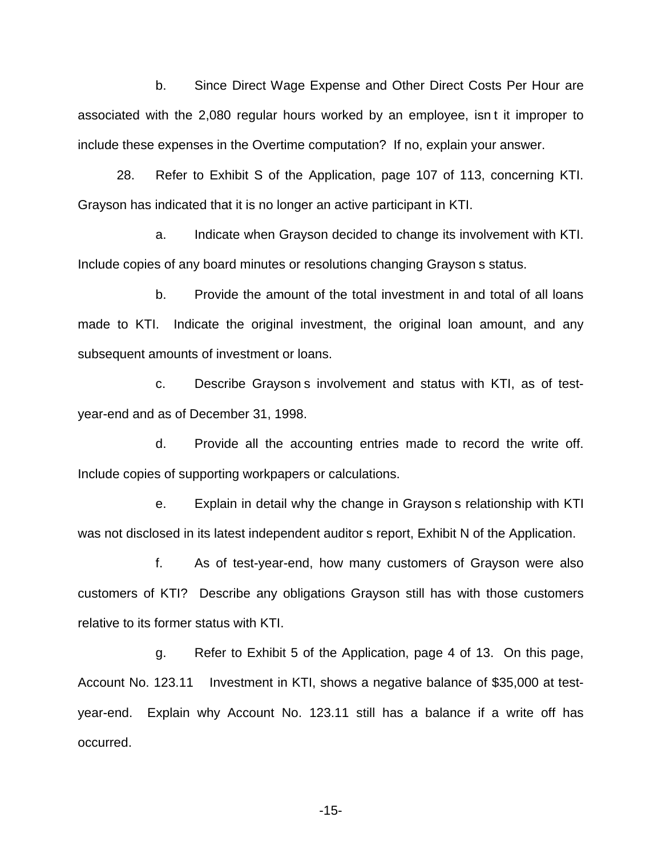b. Since Direct Wage Expense and Other Direct Costs Per Hour are associated with the 2,080 regular hours worked by an employee, isn t it improper to include these expenses in the Overtime computation? If no, explain your answer.

28. Refer to Exhibit S of the Application, page 107 of 113, concerning KTI. Grayson has indicated that it is no longer an active participant in KTI.

a. Indicate when Grayson decided to change its involvement with KTI. Include copies of any board minutes or resolutions changing Grayson s status.

b. Provide the amount of the total investment in and total of all loans made to KTI. Indicate the original investment, the original loan amount, and any subsequent amounts of investment or loans.

c. Describe Grayson s involvement and status with KTI, as of testyear-end and as of December 31, 1998.

d. Provide all the accounting entries made to record the write off. Include copies of supporting workpapers or calculations.

e. Explain in detail why the change in Grayson s relationship with KTI was not disclosed in its latest independent auditor s report, Exhibit N of the Application.

f. As of test-year-end, how many customers of Grayson were also customers of KTI? Describe any obligations Grayson still has with those customers relative to its former status with KTI.

g. Refer to Exhibit 5 of the Application, page 4 of 13. On this page, Account No. 123.11 Investment in KTI, shows a negative balance of \$35,000 at testyear-end. Explain why Account No. 123.11 still has a balance if a write off has occurred.

-15-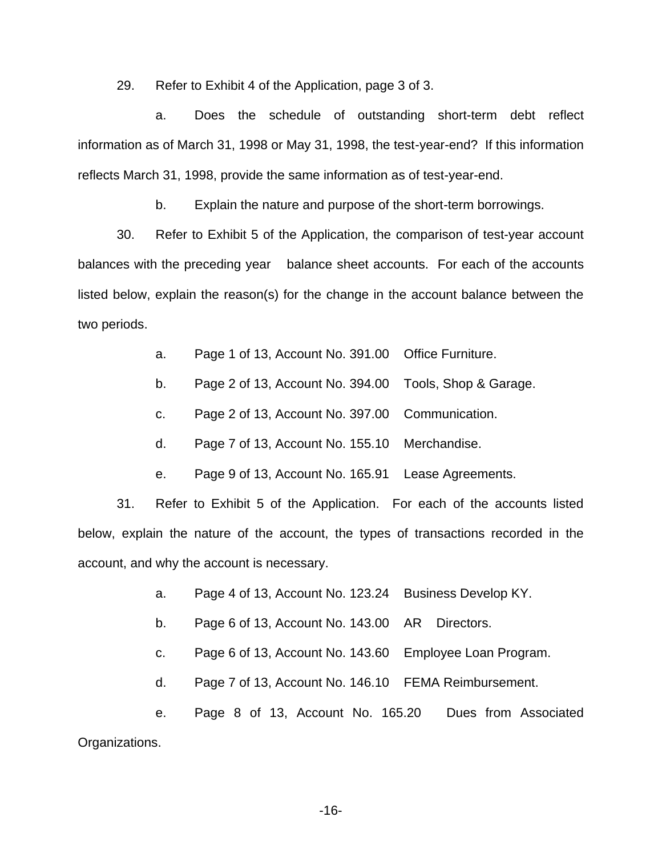29. Refer to Exhibit 4 of the Application, page 3 of 3.

a. Does the schedule of outstanding short-term debt reflect information as of March 31, 1998 or May 31, 1998, the test-year-end? If this information reflects March 31, 1998, provide the same information as of test-year-end.

b. Explain the nature and purpose of the short-term borrowings.

30. Refer to Exhibit 5 of the Application, the comparison of test-year account balances with the preceding year balance sheet accounts. For each of the accounts listed below, explain the reason(s) for the change in the account balance between the two periods.

- a. Page 1 of 13, Account No. 391.00 Office Furniture.
- b. Page 2 of 13, Account No. 394.00 Tools, Shop & Garage.
- c. Page 2 of 13, Account No. 397.00 Communication.
- d. Page 7 of 13, Account No. 155.10 Merchandise.
- e. Page 9 of 13, Account No. 165.91 Lease Agreements.

31. Refer to Exhibit 5 of the Application. For each of the accounts listed below, explain the nature of the account, the types of transactions recorded in the account, and why the account is necessary.

- a. Page 4 of 13, Account No. 123.24 Business Develop KY.
- b. Page 6 of 13, Account No. 143.00 AR Directors.
- c. Page 6 of 13, Account No. 143.60 Employee Loan Program.
- d. Page 7 of 13, Account No. 146.10 FEMA Reimbursement.

e. Page 8 of 13, Account No. 165.20 Dues from Associated Organizations.

-16-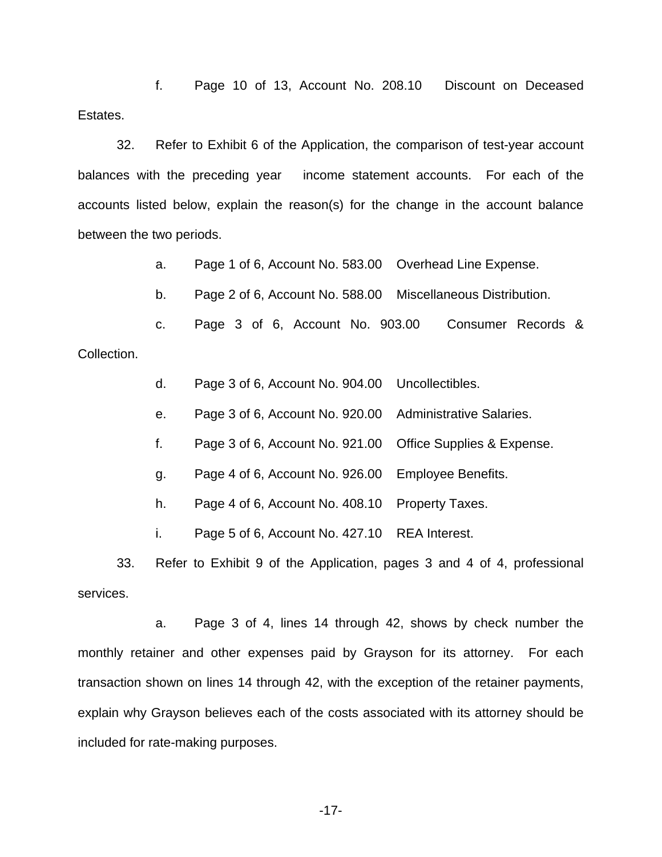f. Page 10 of 13, Account No. 208.10 Discount on Deceased Estates.

32. Refer to Exhibit 6 of the Application, the comparison of test-year account balances with the preceding year income statement accounts. For each of the accounts listed below, explain the reason(s) for the change in the account balance between the two periods.

a. Page 1 of 6, Account No. 583.00 Overhead Line Expense.

b. Page 2 of 6, Account No. 588.00 Miscellaneous Distribution.

c. Page 3 of 6, Account No. 903.00 Consumer Records &

Collection.

d. Page 3 of 6, Account No. 904.00 Uncollectibles.

e. Page 3 of 6, Account No. 920.00 Administrative Salaries.

f. Page 3 of 6, Account No. 921.00 Office Supplies & Expense.

g. Page 4 of 6, Account No. 926.00 Employee Benefits.

h. Page 4 of 6, Account No. 408.10 Property Taxes.

i. Page 5 of 6, Account No. 427.10 REA Interest.

33. Refer to Exhibit 9 of the Application, pages 3 and 4 of 4, professional services.

a. Page 3 of 4, lines 14 through 42, shows by check number the monthly retainer and other expenses paid by Grayson for its attorney. For each transaction shown on lines 14 through 42, with the exception of the retainer payments, explain why Grayson believes each of the costs associated with its attorney should be included for rate-making purposes.

-17-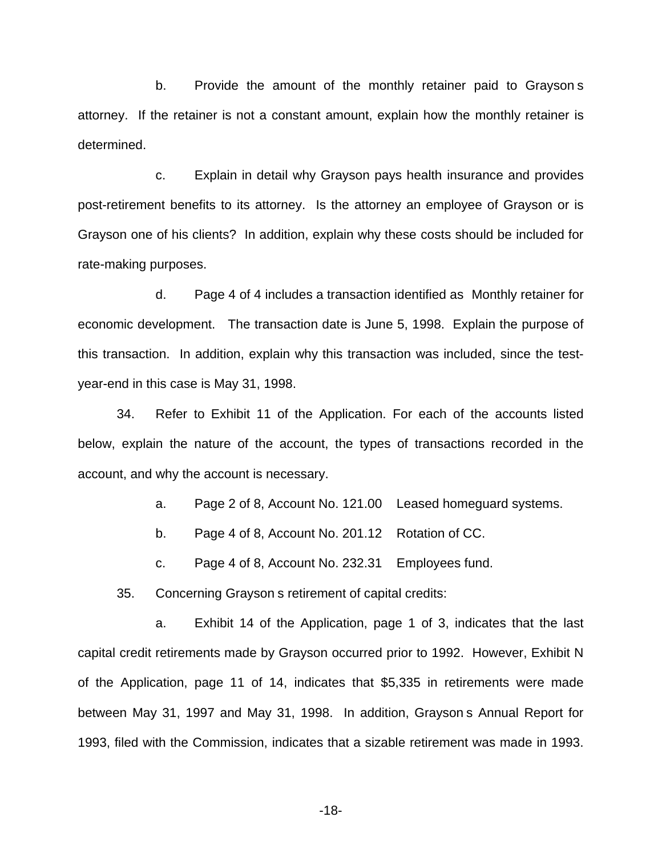b. Provide the amount of the monthly retainer paid to Grayson s attorney. If the retainer is not a constant amount, explain how the monthly retainer is determined.

c. Explain in detail why Grayson pays health insurance and provides post-retirement benefits to its attorney. Is the attorney an employee of Grayson or is Grayson one of his clients? In addition, explain why these costs should be included for rate-making purposes.

d. Page 4 of 4 includes a transaction identified as Monthly retainer for economic development. The transaction date is June 5, 1998. Explain the purpose of this transaction. In addition, explain why this transaction was included, since the testyear-end in this case is May 31, 1998.

34. Refer to Exhibit 11 of the Application. For each of the accounts listed below, explain the nature of the account, the types of transactions recorded in the account, and why the account is necessary.

a. Page 2 of 8, Account No. 121.00 Leased homeguard systems.

b. Page 4 of 8, Account No. 201.12 Rotation of CC.

c. Page 4 of 8, Account No. 232.31 Employees fund.

35. Concerning Grayson s retirement of capital credits:

a. Exhibit 14 of the Application, page 1 of 3, indicates that the last capital credit retirements made by Grayson occurred prior to 1992. However, Exhibit N of the Application, page 11 of 14, indicates that \$5,335 in retirements were made between May 31, 1997 and May 31, 1998. In addition, Grayson s Annual Report for 1993, filed with the Commission, indicates that a sizable retirement was made in 1993.

-18-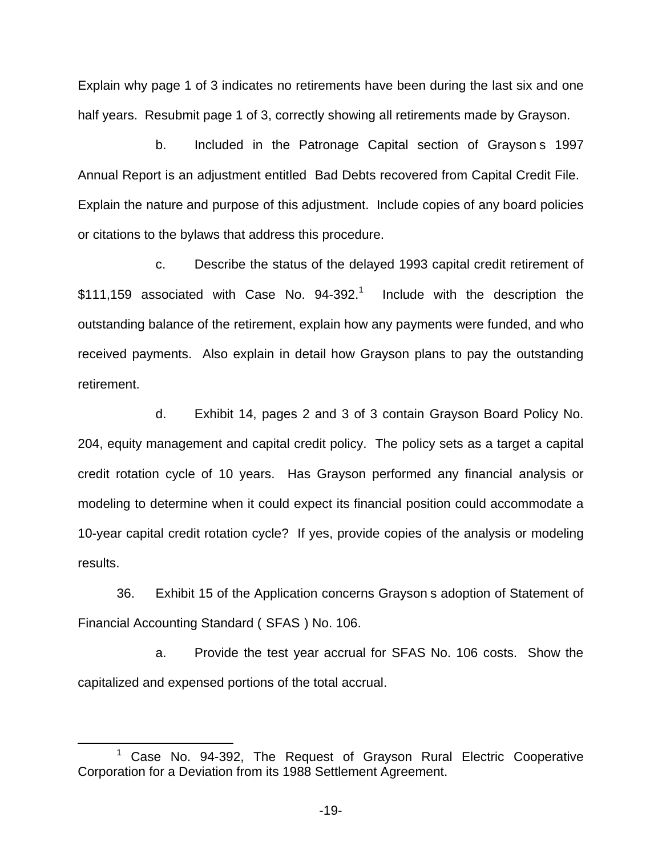Explain why page 1 of 3 indicates no retirements have been during the last six and one half years. Resubmit page 1 of 3, correctly showing all retirements made by Grayson.

b. Included in the Patronage Capital section of Grayson s 1997 Annual Report is an adjustment entitled Bad Debts recovered from Capital Credit File. Explain the nature and purpose of this adjustment. Include copies of any board policies or citations to the bylaws that address this procedure.

c. Describe the status of the delayed 1993 capital credit retirement of  $$111,159$  associated with Case No.  $94-392$ <sup>1</sup> Include with the description the outstanding balance of the retirement, explain how any payments were funded, and who received payments. Also explain in detail how Grayson plans to pay the outstanding retirement.

d. Exhibit 14, pages 2 and 3 of 3 contain Grayson Board Policy No. 204, equity management and capital credit policy. The policy sets as a target a capital credit rotation cycle of 10 years. Has Grayson performed any financial analysis or modeling to determine when it could expect its financial position could accommodate a 10-year capital credit rotation cycle? If yes, provide copies of the analysis or modeling results.

36. Exhibit 15 of the Application concerns Grayson s adoption of Statement of Financial Accounting Standard ( SFAS ) No. 106.

a. Provide the test year accrual for SFAS No. 106 costs. Show the capitalized and expensed portions of the total accrual.

 $1$  Case No. 94-392, The Request of Grayson Rural Electric Cooperative Corporation for a Deviation from its 1988 Settlement Agreement.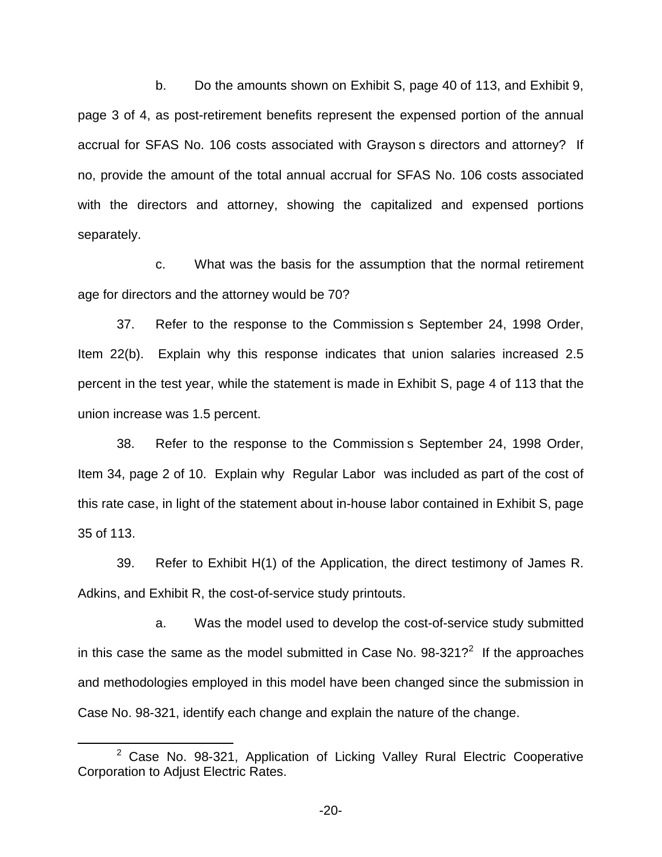b. Do the amounts shown on Exhibit S, page 40 of 113, and Exhibit 9, page 3 of 4, as post-retirement benefits represent the expensed portion of the annual accrual for SFAS No. 106 costs associated with Grayson s directors and attorney? If no, provide the amount of the total annual accrual for SFAS No. 106 costs associated with the directors and attorney, showing the capitalized and expensed portions separately.

c. What was the basis for the assumption that the normal retirement age for directors and the attorney would be 70?

37. Refer to the response to the Commission s September 24, 1998 Order, Item 22(b). Explain why this response indicates that union salaries increased 2.5 percent in the test year, while the statement is made in Exhibit S, page 4 of 113 that the union increase was 1.5 percent.

38. Refer to the response to the Commission s September 24, 1998 Order, Item 34, page 2 of 10. Explain why Regular Labor was included as part of the cost of this rate case, in light of the statement about in-house labor contained in Exhibit S, page 35 of 113.

39. Refer to Exhibit H(1) of the Application, the direct testimony of James R. Adkins, and Exhibit R, the cost-of-service study printouts.

a. Was the model used to develop the cost-of-service study submitted in this case the same as the model submitted in Case No.  $98-321$ ? If the approaches and methodologies employed in this model have been changed since the submission in Case No. 98-321, identify each change and explain the nature of the change.

 $2$  Case No. 98-321, Application of Licking Valley Rural Electric Cooperative Corporation to Adjust Electric Rates.